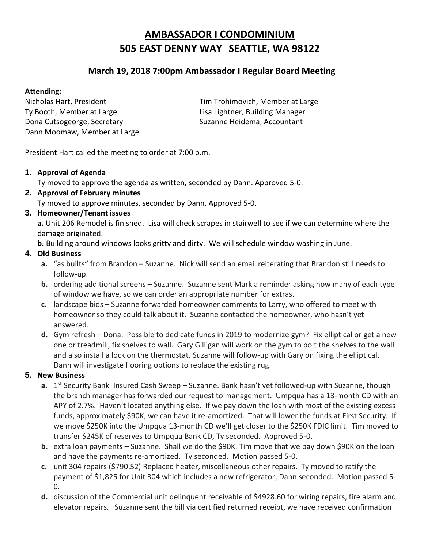## **AMBASSADOR I CONDOMINIUM 505 EAST DENNY WAY SEATTLE, WA 98122**

### **March 19, 2018 7:00pm Ambassador I Regular Board Meeting**

### **Attending:**

Ty Booth, Member at Large Lisa Lightner, Building Manager Dona Cutsogeorge, Secretary Suzanne Heidema, Accountant Dann Moomaw, Member at Large

Nicholas Hart, President Tim Trohimovich, Member at Large

President Hart called the meeting to order at 7:00 p.m.

#### **1. Approval of Agenda**

Ty moved to approve the agenda as written, seconded by Dann. Approved 5-0.

# **2. Approval of February minutes**

Ty moved to approve minutes, seconded by Dann. Approved 5-0.

### **3. Homeowner/Tenant issues**

**a.** Unit 206 Remodel is finished. Lisa will check scrapes in stairwell to see if we can determine where the damage originated.

**b.** Building around windows looks gritty and dirty. We will schedule window washing in June.

### **4. Old Business**

- **a.** "as builts" from Brandon Suzanne. Nick will send an email reiterating that Brandon still needs to follow-up.
- **b.** ordering additional screens Suzanne. Suzanne sent Mark a reminder asking how many of each type of window we have, so we can order an appropriate number for extras.
- **c.** landscape bids Suzanne forwarded homeowner comments to Larry, who offered to meet with homeowner so they could talk about it. Suzanne contacted the homeowner, who hasn't yet answered.
- **d.** Gym refresh Dona. Possible to dedicate funds in 2019 to modernize gym? Fix elliptical or get a new one or treadmill, fix shelves to wall. Gary Gilligan will work on the gym to bolt the shelves to the wall and also install a lock on the thermostat. Suzanne will follow-up with Gary on fixing the elliptical. Dann will investigate flooring options to replace the existing rug.

### **5. New Business**

- a. 1<sup>st</sup> Security Bank Insured Cash Sweep Suzanne. Bank hasn't yet followed-up with Suzanne, though the branch manager has forwarded our request to management. Umpqua has a 13-month CD with an APY of 2.7%. Haven't located anything else. If we pay down the loan with most of the existing excess funds, approximately \$90K, we can have it re-amortized. That will lower the funds at First Security. If we move \$250K into the Umpqua 13-month CD we'll get closer to the \$250K FDIC limit. Tim moved to transfer \$245K of reserves to Umpqua Bank CD, Ty seconded. Approved 5-0.
- **b.** extra loan payments Suzanne. Shall we do the \$90K. Tim move that we pay down \$90K on the loan and have the payments re-amortized. Ty seconded. Motion passed 5-0.
- **c.** unit 304 repairs (\$790.52) Replaced heater, miscellaneous other repairs. Ty moved to ratify the payment of \$1,825 for Unit 304 which includes a new refrigerator, Dann seconded. Motion passed 5-  $0.$
- **d.** discussion of the Commercial unit delinquent receivable of \$4928.60 for wiring repairs, fire alarm and elevator repairs. Suzanne sent the bill via certified returned receipt, we have received confirmation